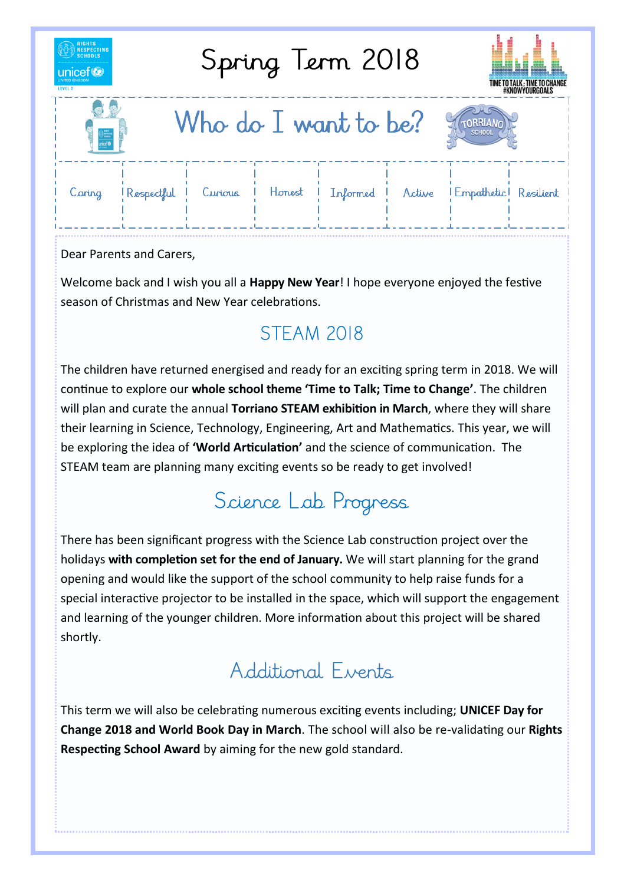| <b>RIGHTS</b><br><b>RESPECTING</b><br>Spring Term 2018<br><b>SCHOOLS</b><br>unicef <sup>(2</sup><br>LEVEL 2 |              |         |        |          |        | TIME TO TALK ; TIME TO CHANGE<br>#KNOWYOURGOALS |  |
|-------------------------------------------------------------------------------------------------------------|--------------|---------|--------|----------|--------|-------------------------------------------------|--|
| Who do $I$ want to be?<br><b>TORRIAN</b><br><b>SCHOOL</b><br>$\equiv$                                       |              |         |        |          |        |                                                 |  |
| Caring                                                                                                      | l Respectful | Curious | Honest | Informed | Active | Empathetic Resilient                            |  |

Dear Parents and Carers,

Welcome back and I wish you all a **Happy New Year**! I hope everyone enjoyed the festive season of Christmas and New Year celebrations.

## **STEAM 2018**

The children have returned energised and ready for an exciting spring term in 2018. We will continue to explore our **whole school theme 'Time to Talk; Time to Change'**. The children will plan and curate the annual **Torriano STEAM exhibition in March**, where they will share their learning in Science, Technology, Engineering, Art and Mathematics. This year, we will be exploring the idea of **'World Articulation'** and the science of communication. The STEAM team are planning many exciting events so be ready to get involved!

## Science Lab Progress

There has been significant progress with the Science Lab construction project over the holidays **with completion set for the end of January.** We will start planning for the grand opening and would like the support of the school community to help raise funds for a special interactive projector to be installed in the space, which will support the engagement and learning of the younger children. More information about this project will be shared shortly.

## Additional Events

This term we will also be celebrating numerous exciting events including; **UNICEF Day for Change 2018 and World Book Day in March**. The school will also be re-validating our **Rights Respecting School Award** by aiming for the new gold standard.